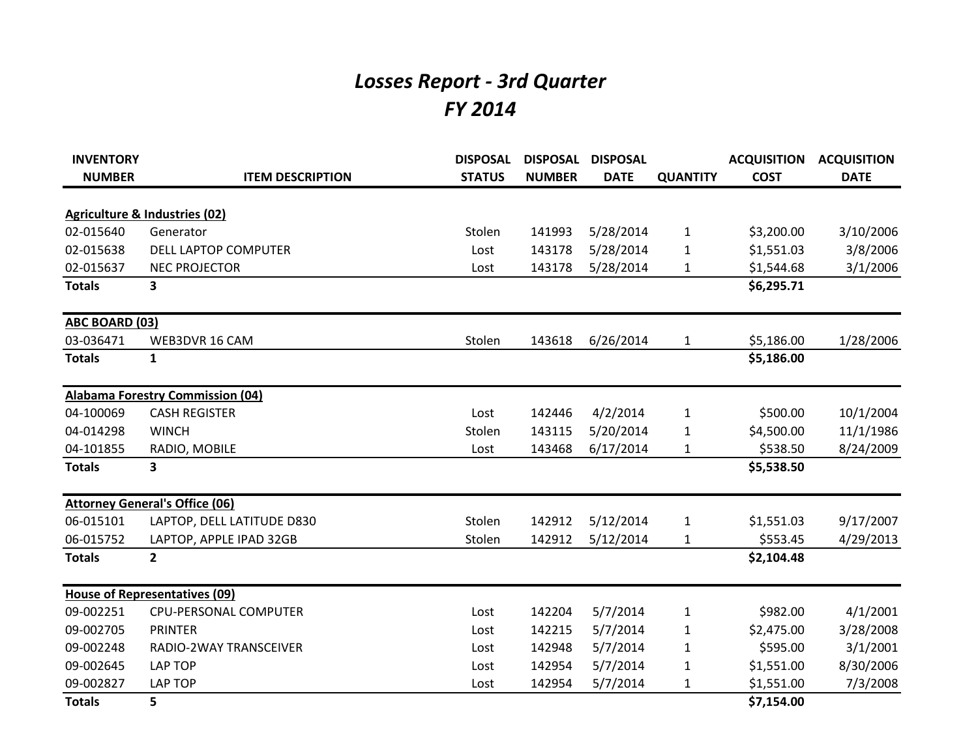## *Losses Report - 3rd Quarter FY 2014*

| <b>INVENTORY</b> |                                          | <b>DISPOSAL</b> | <b>DISPOSAL</b> | <b>DISPOSAL</b> |                 | <b>ACQUISITION</b> | <b>ACQUISITION</b> |
|------------------|------------------------------------------|-----------------|-----------------|-----------------|-----------------|--------------------|--------------------|
| <b>NUMBER</b>    | <b>ITEM DESCRIPTION</b>                  | <b>STATUS</b>   | <b>NUMBER</b>   | <b>DATE</b>     | <b>QUANTITY</b> | <b>COST</b>        | <b>DATE</b>        |
|                  | <b>Agriculture &amp; Industries (02)</b> |                 |                 |                 |                 |                    |                    |
| 02-015640        | Generator                                | Stolen          | 141993          | 5/28/2014       | $\mathbf{1}$    | \$3,200.00         | 3/10/2006          |
| 02-015638        | DELL LAPTOP COMPUTER                     | Lost            | 143178          | 5/28/2014       | 1               | \$1,551.03         | 3/8/2006           |
| 02-015637        | <b>NEC PROJECTOR</b>                     | Lost            | 143178          | 5/28/2014       | 1               | \$1,544.68         | 3/1/2006           |
| <b>Totals</b>    | 3                                        |                 |                 |                 |                 | \$6,295.71         |                    |
| ABC BOARD (03)   |                                          |                 |                 |                 |                 |                    |                    |
| 03-036471        | WEB3DVR 16 CAM                           | Stolen          | 143618          | 6/26/2014       | 1               | \$5,186.00         | 1/28/2006          |
| <b>Totals</b>    | $\mathbf{1}$                             |                 |                 |                 |                 | \$5,186.00         |                    |
|                  | <b>Alabama Forestry Commission (04)</b>  |                 |                 |                 |                 |                    |                    |
| 04-100069        | <b>CASH REGISTER</b>                     | Lost            | 142446          | 4/2/2014        | 1               | \$500.00           | 10/1/2004          |
| 04-014298        | <b>WINCH</b>                             | Stolen          | 143115          | 5/20/2014       | 1               | \$4,500.00         | 11/1/1986          |
| 04-101855        | RADIO, MOBILE                            | Lost            | 143468          | 6/17/2014       | $\mathbf{1}$    | \$538.50           | 8/24/2009          |
| <b>Totals</b>    | 3                                        |                 |                 |                 |                 | \$5,538.50         |                    |
|                  | <b>Attorney General's Office (06)</b>    |                 |                 |                 |                 |                    |                    |
| 06-015101        | LAPTOP, DELL LATITUDE D830               | Stolen          | 142912          | 5/12/2014       | $\mathbf{1}$    | \$1,551.03         | 9/17/2007          |
| 06-015752        | LAPTOP, APPLE IPAD 32GB                  | Stolen          | 142912          | 5/12/2014       | $\mathbf{1}$    | \$553.45           | 4/29/2013          |
| <b>Totals</b>    | $\overline{2}$                           |                 |                 |                 |                 | \$2,104.48         |                    |
|                  | <b>House of Representatives (09)</b>     |                 |                 |                 |                 |                    |                    |
| 09-002251        | CPU-PERSONAL COMPUTER                    | Lost            | 142204          | 5/7/2014        | $\mathbf{1}$    | \$982.00           | 4/1/2001           |
| 09-002705        | <b>PRINTER</b>                           | Lost            | 142215          | 5/7/2014        | 1               | \$2,475.00         | 3/28/2008          |
| 09-002248        | RADIO-2WAY TRANSCEIVER                   | Lost            | 142948          | 5/7/2014        | 1               | \$595.00           | 3/1/2001           |
| 09-002645        | <b>LAP TOP</b>                           | Lost            | 142954          | 5/7/2014        | 1               | \$1,551.00         | 8/30/2006          |
| 09-002827        | <b>LAP TOP</b>                           | Lost            | 142954          | 5/7/2014        | 1               | \$1,551.00         | 7/3/2008           |
| <b>Totals</b>    | 5                                        |                 |                 |                 |                 | \$7,154.00         |                    |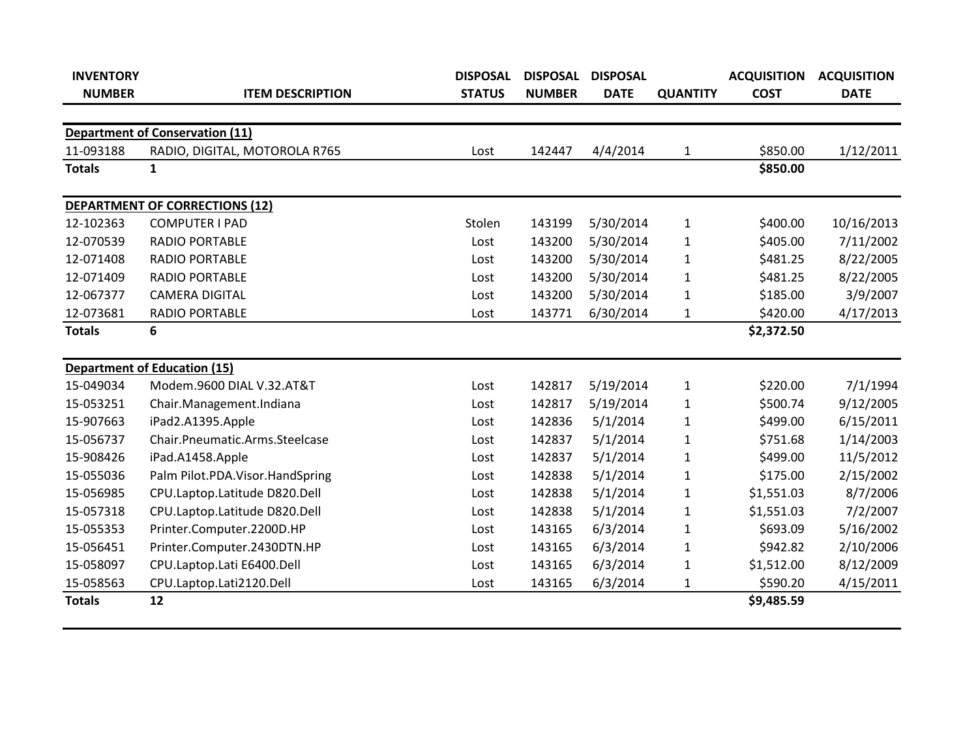| <b>INVENTORY</b> |                                        | <b>DISPOSAL</b> | <b>DISPOSAL</b> | <b>DISPOSAL</b> |                 | <b>ACQUISITION</b> | <b>ACQUISITION</b> |
|------------------|----------------------------------------|-----------------|-----------------|-----------------|-----------------|--------------------|--------------------|
| <b>NUMBER</b>    | <b>ITEM DESCRIPTION</b>                | <b>STATUS</b>   | <b>NUMBER</b>   | <b>DATE</b>     | <b>QUANTITY</b> | <b>COST</b>        | <b>DATE</b>        |
|                  |                                        |                 |                 |                 |                 |                    |                    |
|                  | <b>Department of Conservation (11)</b> |                 |                 |                 |                 |                    |                    |
| 11-093188        | RADIO, DIGITAL, MOTOROLA R765          | Lost            | 142447          | 4/4/2014        | $\mathbf{1}$    | \$850.00           | 1/12/2011          |
| <b>Totals</b>    | 1                                      |                 |                 |                 |                 | \$850.00           |                    |
|                  | <b>DEPARTMENT OF CORRECTIONS (12)</b>  |                 |                 |                 |                 |                    |                    |
| 12-102363        | <b>COMPUTER I PAD</b>                  | Stolen          | 143199          | 5/30/2014       | $\mathbf 1$     | \$400.00           | 10/16/2013         |
| 12-070539        | RADIO PORTABLE                         | Lost            | 143200          | 5/30/2014       | 1               | \$405.00           | 7/11/2002          |
| 12-071408        | <b>RADIO PORTABLE</b>                  | Lost            | 143200          | 5/30/2014       | $\mathbf{1}$    | \$481.25           | 8/22/2005          |
| 12-071409        | <b>RADIO PORTABLE</b>                  | Lost            | 143200          | 5/30/2014       | $\mathbf{1}$    | \$481.25           | 8/22/2005          |
| 12-067377        | <b>CAMERA DIGITAL</b>                  | Lost            | 143200          | 5/30/2014       | 1               | \$185.00           | 3/9/2007           |
| 12-073681        | RADIO PORTABLE                         | Lost            | 143771          | 6/30/2014       | 1               | \$420.00           | 4/17/2013          |
| <b>Totals</b>    | 6                                      |                 |                 |                 |                 | \$2,372.50         |                    |
|                  |                                        |                 |                 |                 |                 |                    |                    |
|                  | <b>Department of Education (15)</b>    |                 |                 |                 |                 |                    |                    |
| 15-049034        | Modem.9600 DIAL V.32.AT&T              | Lost            | 142817          | 5/19/2014       | 1               | \$220.00           | 7/1/1994           |
| 15-053251        | Chair.Management.Indiana               | Lost            | 142817          | 5/19/2014       | $\mathbf{1}$    | \$500.74           | 9/12/2005          |
| 15-907663        | iPad2.A1395.Apple                      | Lost            | 142836          | 5/1/2014        | 1               | \$499.00           | 6/15/2011          |
| 15-056737        | Chair.Pneumatic.Arms.Steelcase         | Lost            | 142837          | 5/1/2014        | $\mathbf{1}$    | \$751.68           | 1/14/2003          |
| 15-908426        | iPad.A1458.Apple                       | Lost            | 142837          | 5/1/2014        | 1               | \$499.00           | 11/5/2012          |
| 15-055036        | Palm Pilot.PDA.Visor.HandSpring        | Lost            | 142838          | 5/1/2014        | $\mathbf{1}$    | \$175.00           | 2/15/2002          |
| 15-056985        | CPU.Laptop.Latitude D820.Dell          | Lost            | 142838          | 5/1/2014        | $\mathbf{1}$    | \$1,551.03         | 8/7/2006           |
| 15-057318        | CPU.Laptop.Latitude D820.Dell          | Lost            | 142838          | 5/1/2014        | $\mathbf{1}$    | \$1,551.03         | 7/2/2007           |
| 15-055353        | Printer.Computer.2200D.HP              | Lost            | 143165          | 6/3/2014        | 1               | \$693.09           | 5/16/2002          |
| 15-056451        | Printer.Computer.2430DTN.HP            | Lost            | 143165          | 6/3/2014        | 1               | \$942.82           | 2/10/2006          |
| 15-058097        | CPU.Laptop.Lati E6400.Dell             | Lost            | 143165          | 6/3/2014        | 1               | \$1,512.00         | 8/12/2009          |
| 15-058563        | CPU.Laptop.Lati2120.Dell               | Lost            | 143165          | 6/3/2014        | 1               | \$590.20           | 4/15/2011          |
| <b>Totals</b>    | 12                                     |                 |                 |                 |                 | \$9,485.59         |                    |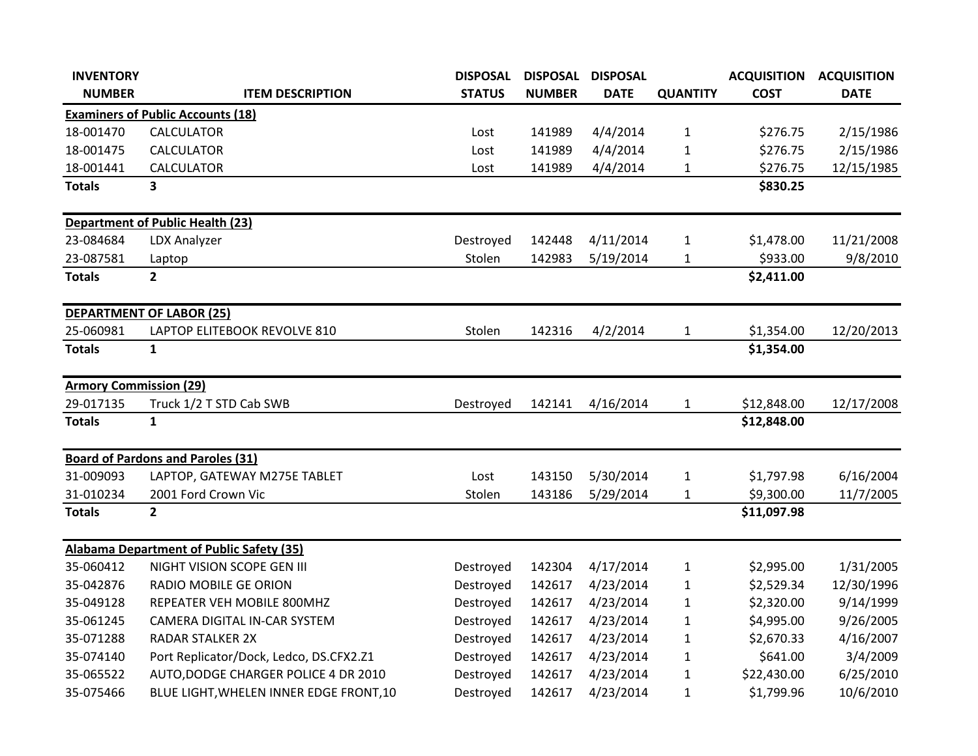| <b>INVENTORY</b>              |                                                 | <b>DISPOSAL</b> | <b>DISPOSAL</b> | <b>DISPOSAL</b> |                 | <b>ACQUISITION</b> | <b>ACQUISITION</b> |
|-------------------------------|-------------------------------------------------|-----------------|-----------------|-----------------|-----------------|--------------------|--------------------|
| <b>NUMBER</b>                 | <b>ITEM DESCRIPTION</b>                         | <b>STATUS</b>   | <b>NUMBER</b>   | <b>DATE</b>     | <b>QUANTITY</b> | <b>COST</b>        | <b>DATE</b>        |
|                               | <b>Examiners of Public Accounts (18)</b>        |                 |                 |                 |                 |                    |                    |
| 18-001470                     | <b>CALCULATOR</b>                               | Lost            | 141989          | 4/4/2014        | $\mathbf{1}$    | \$276.75           | 2/15/1986          |
| 18-001475                     | <b>CALCULATOR</b>                               | Lost            | 141989          | 4/4/2014        | $\mathbf{1}$    | \$276.75           | 2/15/1986          |
| 18-001441                     | <b>CALCULATOR</b>                               | Lost            | 141989          | 4/4/2014        | $\mathbf{1}$    | \$276.75           | 12/15/1985         |
| <b>Totals</b>                 | 3                                               |                 |                 |                 |                 | \$830.25           |                    |
|                               | <b>Department of Public Health (23)</b>         |                 |                 |                 |                 |                    |                    |
| 23-084684                     | LDX Analyzer                                    | Destroyed       | 142448          | 4/11/2014       | $\mathbf{1}$    | \$1,478.00         | 11/21/2008         |
| 23-087581                     | Laptop                                          | Stolen          | 142983          | 5/19/2014       | $\mathbf{1}$    | \$933.00           | 9/8/2010           |
| <b>Totals</b>                 | $\mathbf{2}$                                    |                 |                 |                 |                 | \$2,411.00         |                    |
|                               | <b>DEPARTMENT OF LABOR (25)</b>                 |                 |                 |                 |                 |                    |                    |
| 25-060981                     | LAPTOP ELITEBOOK REVOLVE 810                    | Stolen          | 142316          | 4/2/2014        | $\mathbf{1}$    | \$1,354.00         | 12/20/2013         |
| <b>Totals</b>                 | $\mathbf{1}$                                    |                 |                 |                 |                 | \$1,354.00         |                    |
| <b>Armory Commission (29)</b> |                                                 |                 |                 |                 |                 |                    |                    |
| 29-017135                     | Truck 1/2 T STD Cab SWB                         | Destroyed       | 142141          | 4/16/2014       | 1               | \$12,848.00        | 12/17/2008         |
| <b>Totals</b>                 | $\mathbf{1}$                                    |                 |                 |                 |                 | \$12,848.00        |                    |
|                               | <b>Board of Pardons and Paroles (31)</b>        |                 |                 |                 |                 |                    |                    |
| 31-009093                     | LAPTOP, GATEWAY M275E TABLET                    | Lost            | 143150          | 5/30/2014       | $\mathbf{1}$    | \$1,797.98         | 6/16/2004          |
| 31-010234                     | 2001 Ford Crown Vic                             | Stolen          | 143186          | 5/29/2014       | $\mathbf{1}$    | \$9,300.00         | 11/7/2005          |
| <b>Totals</b>                 | $\overline{2}$                                  |                 |                 |                 |                 | \$11,097.98        |                    |
|                               | <b>Alabama Department of Public Safety (35)</b> |                 |                 |                 |                 |                    |                    |
| 35-060412                     | NIGHT VISION SCOPE GEN III                      | Destroyed       | 142304          | 4/17/2014       | $\mathbf{1}$    | \$2,995.00         | 1/31/2005          |
| 35-042876                     | <b>RADIO MOBILE GE ORION</b>                    | Destroyed       | 142617          | 4/23/2014       | $\mathbf{1}$    | \$2,529.34         | 12/30/1996         |
| 35-049128                     | REPEATER VEH MOBILE 800MHZ                      | Destroyed       | 142617          | 4/23/2014       | $\mathbf{1}$    | \$2,320.00         | 9/14/1999          |
| 35-061245                     | CAMERA DIGITAL IN-CAR SYSTEM                    | Destroyed       | 142617          | 4/23/2014       | $\mathbf{1}$    | \$4,995.00         | 9/26/2005          |
| 35-071288                     | <b>RADAR STALKER 2X</b>                         | Destroyed       | 142617          | 4/23/2014       | 1               | \$2,670.33         | 4/16/2007          |
| 35-074140                     | Port Replicator/Dock, Ledco, DS.CFX2.Z1         | Destroyed       | 142617          | 4/23/2014       | $\mathbf 1$     | \$641.00           | 3/4/2009           |
| 35-065522                     | AUTO, DODGE CHARGER POLICE 4 DR 2010            | Destroyed       | 142617          | 4/23/2014       | 1               | \$22,430.00        | 6/25/2010          |
| 35-075466                     | BLUE LIGHT, WHELEN INNER EDGE FRONT, 10         | Destroyed       | 142617          | 4/23/2014       | $\mathbf{1}$    | \$1,799.96         | 10/6/2010          |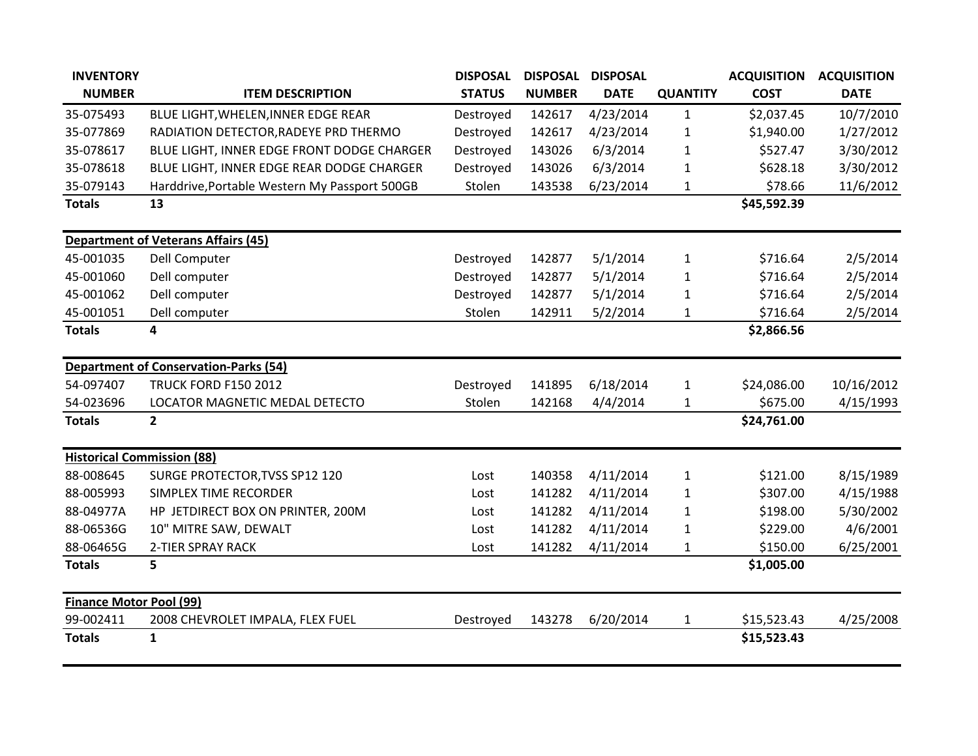| <b>INVENTORY</b>                  |                                               | <b>DISPOSAL</b> | <b>DISPOSAL</b> | <b>DISPOSAL</b> |                 | <b>ACQUISITION</b> | <b>ACQUISITION</b> |
|-----------------------------------|-----------------------------------------------|-----------------|-----------------|-----------------|-----------------|--------------------|--------------------|
| <b>NUMBER</b>                     | <b>ITEM DESCRIPTION</b>                       | <b>STATUS</b>   | <b>NUMBER</b>   | <b>DATE</b>     | <b>QUANTITY</b> | <b>COST</b>        | <b>DATE</b>        |
| 35-075493                         | BLUE LIGHT, WHELEN, INNER EDGE REAR           | Destroyed       | 142617          | 4/23/2014       | 1               | \$2,037.45         | 10/7/2010          |
| 35-077869                         | RADIATION DETECTOR, RADEYE PRD THERMO         | Destroyed       | 142617          | 4/23/2014       | 1               | \$1,940.00         | 1/27/2012          |
| 35-078617                         | BLUE LIGHT, INNER EDGE FRONT DODGE CHARGER    | Destroyed       | 143026          | 6/3/2014        | 1               | \$527.47           | 3/30/2012          |
| 35-078618                         | BLUE LIGHT, INNER EDGE REAR DODGE CHARGER     | Destroyed       | 143026          | 6/3/2014        | 1               | \$628.18           | 3/30/2012          |
| 35-079143                         | Harddrive, Portable Western My Passport 500GB | Stolen          | 143538          | 6/23/2014       | 1               | \$78.66            | 11/6/2012          |
| <b>Totals</b>                     | 13                                            |                 |                 |                 |                 | \$45,592.39        |                    |
|                                   | <b>Department of Veterans Affairs (45)</b>    |                 |                 |                 |                 |                    |                    |
| 45-001035                         | <b>Dell Computer</b>                          | Destroyed       | 142877          | 5/1/2014        | $\mathbf{1}$    | \$716.64           | 2/5/2014           |
| 45-001060                         | Dell computer                                 | Destroyed       | 142877          | 5/1/2014        | 1               | \$716.64           | 2/5/2014           |
| 45-001062                         | Dell computer                                 | Destroyed       | 142877          | 5/1/2014        | $\mathbf{1}$    | \$716.64           | 2/5/2014           |
| 45-001051                         | Dell computer                                 | Stolen          | 142911          | 5/2/2014        | 1               | \$716.64           | 2/5/2014           |
| <b>Totals</b>                     | 4                                             |                 |                 |                 |                 | \$2,866.56         |                    |
|                                   | <b>Department of Conservation-Parks (54)</b>  |                 |                 |                 |                 |                    |                    |
| 54-097407                         | <b>TRUCK FORD F150 2012</b>                   | Destroyed       | 141895          | 6/18/2014       | $\mathbf{1}$    | \$24,086.00        | 10/16/2012         |
| 54-023696                         | LOCATOR MAGNETIC MEDAL DETECTO                | Stolen          | 142168          | 4/4/2014        | $\mathbf{1}$    | \$675.00           | 4/15/1993          |
| <b>Totals</b>                     | $\overline{2}$                                |                 |                 |                 |                 | \$24,761.00        |                    |
| <b>Historical Commission (88)</b> |                                               |                 |                 |                 |                 |                    |                    |
| 88-008645                         | SURGE PROTECTOR, TVSS SP12 120                | Lost            | 140358          | 4/11/2014       | $\mathbf 1$     | \$121.00           | 8/15/1989          |
| 88-005993                         | SIMPLEX TIME RECORDER                         | Lost            | 141282          | 4/11/2014       | $\mathbf{1}$    | \$307.00           | 4/15/1988          |
| 88-04977A                         | HP JETDIRECT BOX ON PRINTER, 200M             | Lost            | 141282          | 4/11/2014       | 1               | \$198.00           | 5/30/2002          |
| 88-06536G                         | 10" MITRE SAW, DEWALT                         | Lost            | 141282          | 4/11/2014       | 1               | \$229.00           | 4/6/2001           |
| 88-06465G                         | <b>2-TIER SPRAY RACK</b>                      | Lost            | 141282          | 4/11/2014       | 1               | \$150.00           | 6/25/2001          |
| <b>Totals</b>                     | 5                                             |                 |                 |                 |                 | \$1,005.00         |                    |
| <b>Finance Motor Pool (99)</b>    |                                               |                 |                 |                 |                 |                    |                    |
| 99-002411                         | 2008 CHEVROLET IMPALA, FLEX FUEL              | Destroyed       | 143278          | 6/20/2014       | $\mathbf{1}$    | \$15,523.43        | 4/25/2008          |
| <b>Totals</b>                     | $\mathbf{1}$                                  |                 |                 |                 |                 | \$15,523.43        |                    |